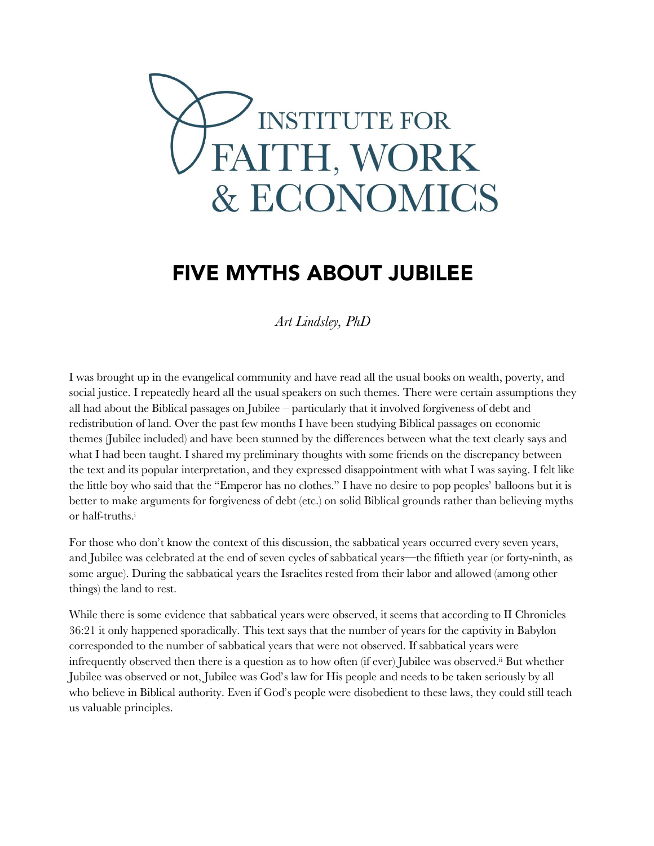

# FIVE MYTHS ABOUT JUBILEE

*Art Lindsley, PhD*

I was brought up in the evangelical community and have read all the usual books on wealth, poverty, and social justice. I repeatedly heard all the usual speakers on such themes. There were certain assumptions they all had about the Biblical passages on Jubilee – particularly that it involved forgiveness of debt and redistribution of land. Over the past few months I have been studying Biblical passages on economic themes (Jubilee included) and have been stunned by the differences between what the text clearly says and what I had been taught. I shared my preliminary thoughts with some friends on the discrepancy between the text and its popular interpretation, and they expressed disappointment with what I was saying. I felt like the little boy who said that the "Emperor has no clothes." I have no desire to pop peoples' balloons but it is better to make arguments for forgiveness of debt (etc.) on solid Biblical grounds rather than believing myths or half-truths.<sup>i</sup>

For those who don't know the context of this discussion, the sabbatical years occurred every seven years, and Jubilee was celebrated at the end of seven cycles of sabbatical years—the fiftieth year (or forty-ninth, as some argue). During the sabbatical years the Israelites rested from their labor and allowed (among other things) the land to rest.

While there is some evidence that sabbatical years were observed, it seems that according to II Chronicles 36:21 it only happened sporadically. This text says that the number of years for the captivity in Babylon corresponded to the number of sabbatical years that were not observed. If sabbatical years were infrequently observed then there is a question as to how often (if ever) Jubilee was observed.ii But whether Jubilee was observed or not, Jubilee was God's law for His people and needs to be taken seriously by all who believe in Biblical authority. Even if God's people were disobedient to these laws, they could still teach us valuable principles.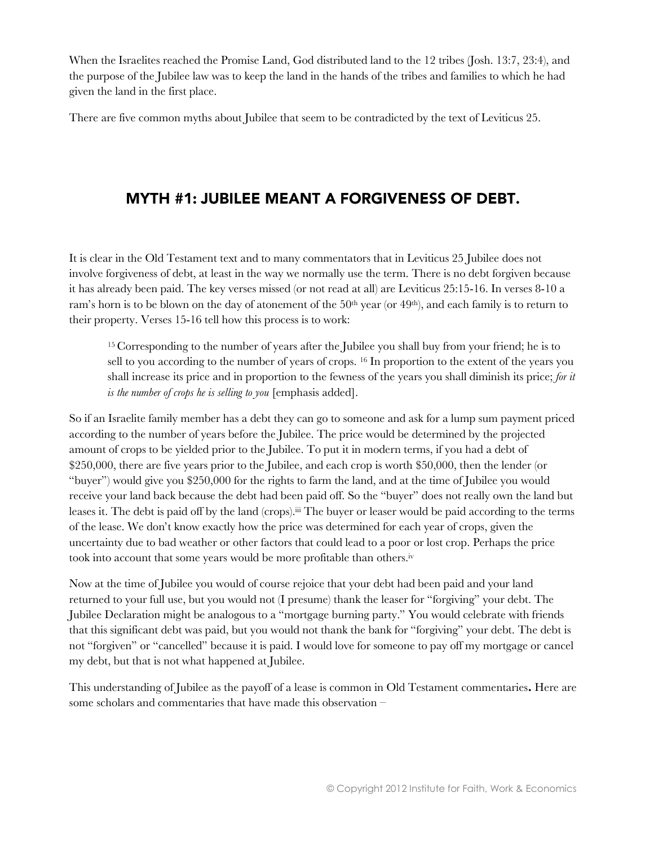When the Israelites reached the Promise Land, God distributed land to the 12 tribes (Josh. 13:7, 23:4), and the purpose of the Jubilee law was to keep the land in the hands of the tribes and families to which he had given the land in the first place.

There are five common myths about Jubilee that seem to be contradicted by the text of Leviticus 25.

### **MYTH #1: JUBILEE MEANT A FORGIVENESS OF DEBT.**

It is clear in the Old Testament text and to many commentators that in Leviticus 25 Jubilee does not involve forgiveness of debt, at least in the way we normally use the term. There is no debt forgiven because it has already been paid. The key verses missed (or not read at all) are Leviticus 25:15-16. In verses 8-10 a ram's horn is to be blown on the day of atonement of the 50<sup>th</sup> year (or 49<sup>th</sup>), and each family is to return to their property. Verses 15-16 tell how this process is to work:

<sup>15</sup> Corresponding to the number of years after the Jubilee you shall buy from your friend; he is to sell to you according to the number of years of crops. <sup>16</sup> In proportion to the extent of the years you shall increase its price and in proportion to the fewness of the years you shall diminish its price; *for it is the number of crops he is selling to you* [emphasis added].

So if an Israelite family member has a debt they can go to someone and ask for a lump sum payment priced according to the number of years before the Jubilee. The price would be determined by the projected amount of crops to be yielded prior to the Jubilee. To put it in modern terms, if you had a debt of \$250,000, there are five years prior to the Jubilee, and each crop is worth \$50,000, then the lender (or "buyer") would give you \$250,000 for the rights to farm the land, and at the time of Jubilee you would receive your land back because the debt had been paid off. So the "buyer" does not really own the land but leases it. The debt is paid off by the land (crops).<sup>iii</sup> The buyer or leaser would be paid according to the terms of the lease. We don't know exactly how the price was determined for each year of crops, given the uncertainty due to bad weather or other factors that could lead to a poor or lost crop. Perhaps the price took into account that some years would be more profitable than others.iv

Now at the time of Jubilee you would of course rejoice that your debt had been paid and your land returned to your full use, but you would not (I presume) thank the leaser for "forgiving" your debt. The Jubilee Declaration might be analogous to a "mortgage burning party." You would celebrate with friends that this significant debt was paid, but you would not thank the bank for "forgiving" your debt. The debt is not "forgiven" or "cancelled" because it is paid. I would love for someone to pay off my mortgage or cancel my debt, but that is not what happened at Jubilee.

This understanding of Jubilee as the payoff of a lease is common in Old Testament commentaries**.** Here are some scholars and commentaries that have made this observation –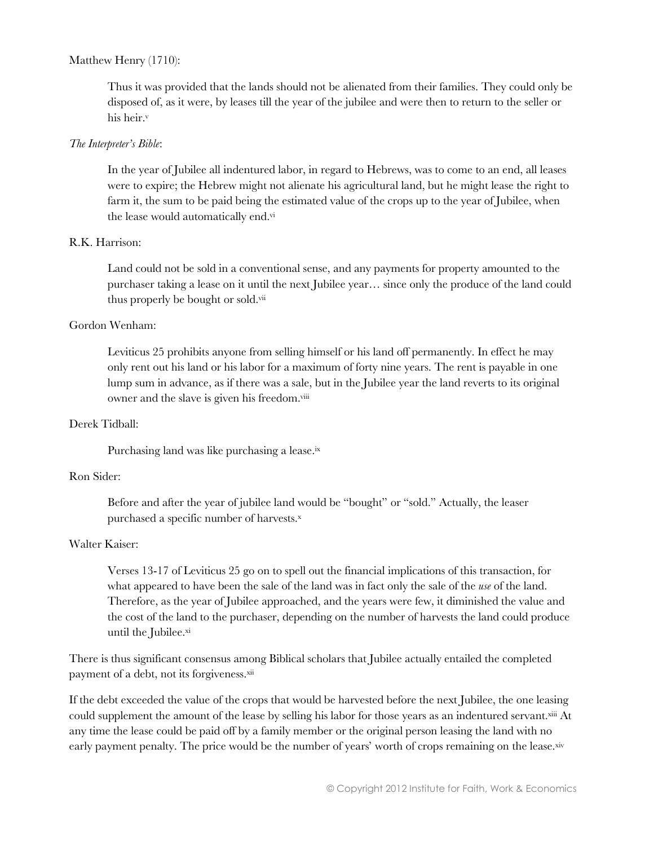#### Matthew Henry (1710):

Thus it was provided that the lands should not be alienated from their families. They could only be disposed of, as it were, by leases till the year of the jubilee and were then to return to the seller or his heir.<sup>v</sup>

#### *The Interpreter's Bible*:

In the year of Jubilee all indentured labor, in regard to Hebrews, was to come to an end, all leases were to expire; the Hebrew might not alienate his agricultural land, but he might lease the right to farm it, the sum to be paid being the estimated value of the crops up to the year of Jubilee, when the lease would automatically end.vi

#### R.K. Harrison:

Land could not be sold in a conventional sense, and any payments for property amounted to the purchaser taking a lease on it until the next Jubilee year… since only the produce of the land could thus properly be bought or sold.vii

#### Gordon Wenham:

Leviticus 25 prohibits anyone from selling himself or his land off permanently. In effect he may only rent out his land or his labor for a maximum of forty nine years. The rent is payable in one lump sum in advance, as if there was a sale, but in the Jubilee year the land reverts to its original owner and the slave is given his freedom.viii

#### Derek Tidball:

Purchasing land was like purchasing a lease.<sup>ix</sup>

#### Ron Sider:

Before and after the year of jubilee land would be "bought" or "sold." Actually, the leaser purchased a specific number of harvests.<sup>x</sup>

#### Walter Kaiser:

Verses 13-17 of Leviticus 25 go on to spell out the financial implications of this transaction, for what appeared to have been the sale of the land was in fact only the sale of the *use* of the land. Therefore, as the year of Jubilee approached, and the years were few, it diminished the value and the cost of the land to the purchaser, depending on the number of harvests the land could produce until the Jubilee.xi

There is thus significant consensus among Biblical scholars that Jubilee actually entailed the completed payment of a debt, not its forgiveness.xii

If the debt exceeded the value of the crops that would be harvested before the next Jubilee, the one leasing could supplement the amount of the lease by selling his labor for those years as an indentured servant.xiii At any time the lease could be paid off by a family member or the original person leasing the land with no early payment penalty. The price would be the number of years' worth of crops remaining on the lease.xiv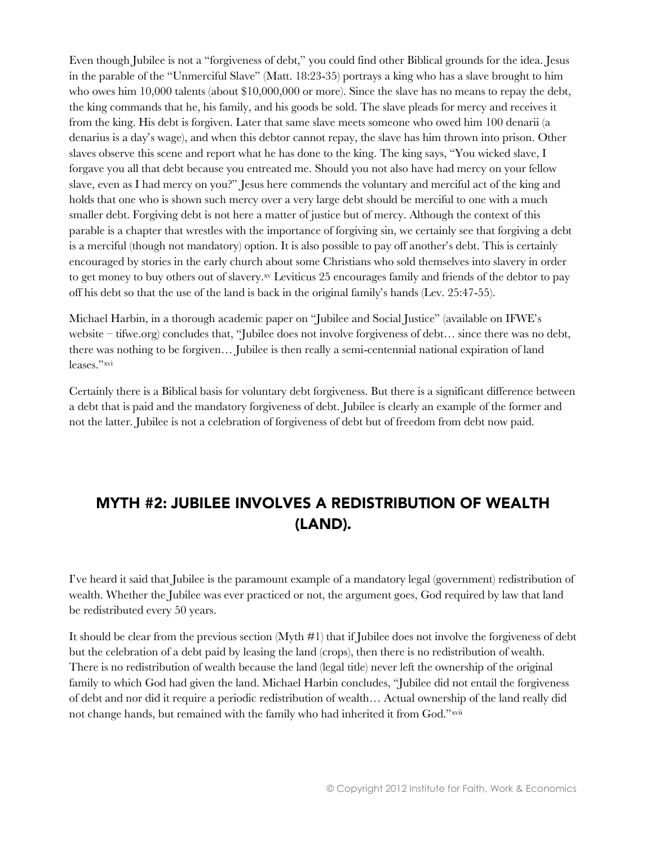Even though Jubilee is not a "forgiveness of debt," you could find other Biblical grounds for the idea. Jesus in the parable of the "Unmerciful Slave" (Matt. 18:23-35) portrays a king who has a slave brought to him who owes him 10,000 talents (about \$10,000,000 or more). Since the slave has no means to repay the debt, the king commands that he, his family, and his goods be sold. The slave pleads for mercy and receives it from the king. His debt is forgiven. Later that same slave meets someone who owed him 100 denarii (a denarius is a day's wage), and when this debtor cannot repay, the slave has him thrown into prison. Other slaves observe this scene and report what he has done to the king. The king says, "You wicked slave, I forgave you all that debt because you entreated me. Should you not also have had mercy on your fellow slave, even as I had mercy on you?" Jesus here commends the voluntary and merciful act of the king and holds that one who is shown such mercy over a very large debt should be merciful to one with a much smaller debt. Forgiving debt is not here a matter of justice but of mercy. Although the context of this parable is a chapter that wrestles with the importance of forgiving sin, we certainly see that forgiving a debt is a merciful (though not mandatory) option. It is also possible to pay off another's debt. This is certainly encouraged by stories in the early church about some Christians who sold themselves into slavery in order to get money to buy others out of slavery.<sup>xv</sup> Leviticus 25 encourages family and friends of the debtor to pay off his debt so that the use of the land is back in the original family's hands (Lev. 25:47-55).

Michael Harbin, in a thorough academic paper on "Jubilee and Social Justice" (available on IFWE's website – tifwe.org) concludes that, "Jubilee does not involve forgiveness of debt… since there was no debt, there was nothing to be forgiven… Jubilee is then really a semi-centennial national expiration of land leases."xvi

Certainly there is a Biblical basis for voluntary debt forgiveness. But there is a significant difference between a debt that is paid and the mandatory forgiveness of debt. Jubilee is clearly an example of the former and not the latter. Jubilee is not a celebration of forgiveness of debt but of freedom from debt now paid.

# **MYTH #2: JUBILEE INVOLVES A REDISTRIBUTION OF WEALTH** (LAND).

I've heard it said that Jubilee is the paramount example of a mandatory legal (government) redistribution of wealth. Whether the Jubilee was ever practiced or not, the argument goes, God required by law that land be redistributed every 50 years.

It should be clear from the previous section (Myth #1) that if Jubilee does not involve the forgiveness of debt but the celebration of a debt paid by leasing the land (crops), then there is no redistribution of wealth. There is no redistribution of wealth because the land (legal title) never left the ownership of the original family to which God had given the land. Michael Harbin concludes, "Jubilee did not entail the forgiveness of debt and nor did it require a periodic redistribution of wealth… Actual ownership of the land really did not change hands, but remained with the family who had inherited it from God."<sup>xvii</sup>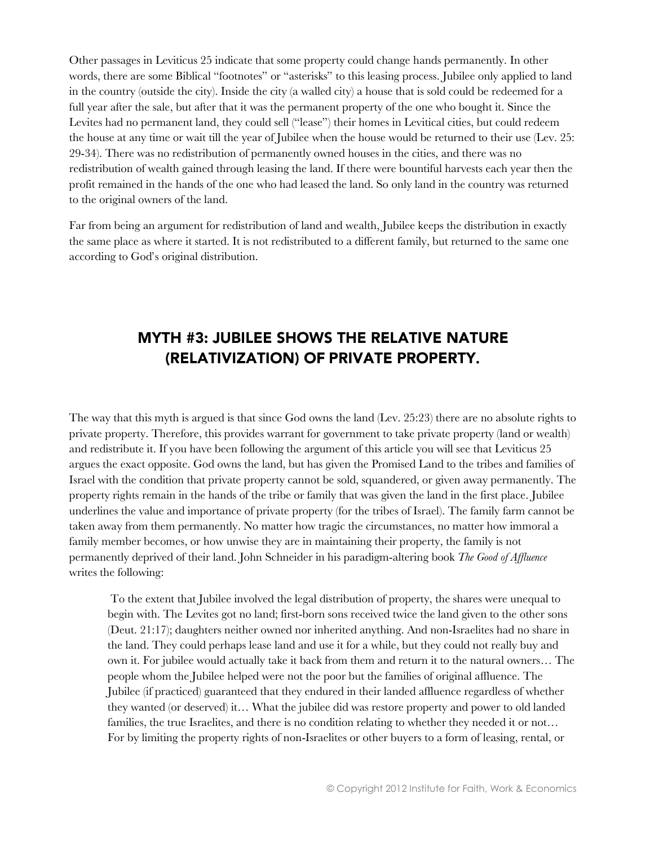Other passages in Leviticus 25 indicate that some property could change hands permanently. In other words, there are some Biblical "footnotes" or "asterisks" to this leasing process. Jubilee only applied to land in the country (outside the city). Inside the city (a walled city) a house that is sold could be redeemed for a full year after the sale, but after that it was the permanent property of the one who bought it. Since the Levites had no permanent land, they could sell ("lease") their homes in Levitical cities, but could redeem the house at any time or wait till the year of Jubilee when the house would be returned to their use (Lev. 25: 29-34). There was no redistribution of permanently owned houses in the cities, and there was no redistribution of wealth gained through leasing the land. If there were bountiful harvests each year then the profit remained in the hands of the one who had leased the land. So only land in the country was returned to the original owners of the land.

Far from being an argument for redistribution of land and wealth, Jubilee keeps the distribution in exactly the same place as where it started. It is not redistributed to a different family, but returned to the same one according to God's original distribution.

### **MYTH #3: JUBILEE SHOWS THE RELATIVE NATURE (RELATIVIZATION) OF PRIVATE PROPERTY.**

The way that this myth is argued is that since God owns the land (Lev. 25:23) there are no absolute rights to private property. Therefore, this provides warrant for government to take private property (land or wealth) and redistribute it. If you have been following the argument of this article you will see that Leviticus 25 argues the exact opposite. God owns the land, but has given the Promised Land to the tribes and families of Israel with the condition that private property cannot be sold, squandered, or given away permanently. The property rights remain in the hands of the tribe or family that was given the land in the first place. Jubilee underlines the value and importance of private property (for the tribes of Israel). The family farm cannot be taken away from them permanently. No matter how tragic the circumstances, no matter how immoral a family member becomes, or how unwise they are in maintaining their property, the family is not permanently deprived of their land. John Schneider in his paradigm-altering book *The Good of Affluence* writes the following:

To the extent that Jubilee involved the legal distribution of property, the shares were unequal to begin with. The Levites got no land; first-born sons received twice the land given to the other sons (Deut. 21:17); daughters neither owned nor inherited anything. And non-Israelites had no share in the land. They could perhaps lease land and use it for a while, but they could not really buy and own it. For jubilee would actually take it back from them and return it to the natural owners… The people whom the Jubilee helped were not the poor but the families of original affluence. The Jubilee (if practiced) guaranteed that they endured in their landed affluence regardless of whether they wanted (or deserved) it… What the jubilee did was restore property and power to old landed families, the true Israelites, and there is no condition relating to whether they needed it or not... For by limiting the property rights of non-Israelites or other buyers to a form of leasing, rental, or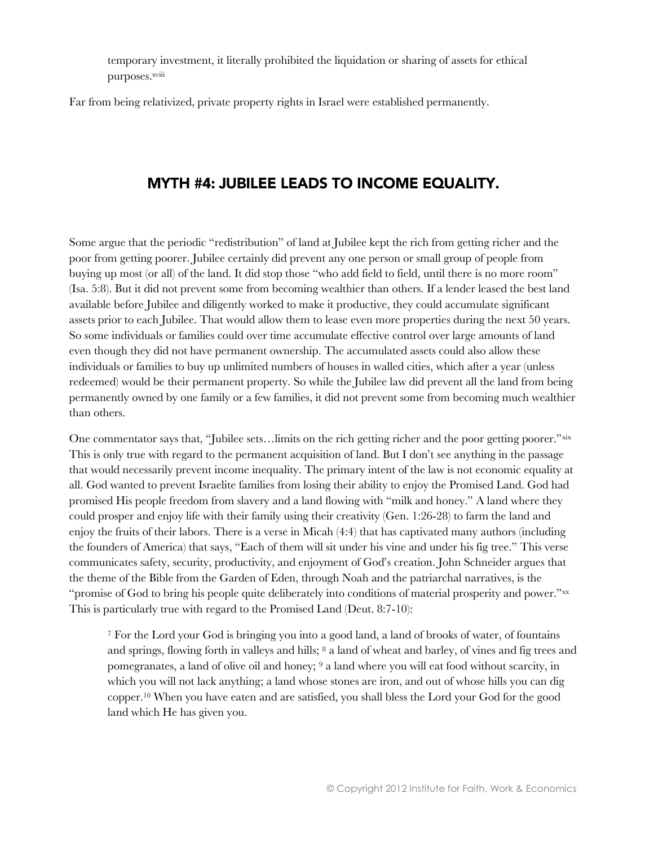temporary investment, it literally prohibited the liquidation or sharing of assets for ethical purposes.xviii

Far from being relativized, private property rights in Israel were established permanently.

### **MYTH #4: JUBILEE LEADS TO INCOME EQUALITY.**

Some argue that the periodic "redistribution" of land at Jubilee kept the rich from getting richer and the poor from getting poorer. Jubilee certainly did prevent any one person or small group of people from buying up most (or all) of the land. It did stop those "who add field to field, until there is no more room" (Isa. 5:8). But it did not prevent some from becoming wealthier than others. If a lender leased the best land available before Jubilee and diligently worked to make it productive, they could accumulate significant assets prior to each Jubilee. That would allow them to lease even more properties during the next 50 years. So some individuals or families could over time accumulate effective control over large amounts of land even though they did not have permanent ownership. The accumulated assets could also allow these individuals or families to buy up unlimited numbers of houses in walled cities, which after a year (unless redeemed) would be their permanent property. So while the Jubilee law did prevent all the land from being permanently owned by one family or a few families, it did not prevent some from becoming much wealthier than others.

One commentator says that, "Jubilee sets... limits on the rich getting richer and the poor getting poorer." xix This is only true with regard to the permanent acquisition of land. But I don't see anything in the passage that would necessarily prevent income inequality. The primary intent of the law is not economic equality at all. God wanted to prevent Israelite families from losing their ability to enjoy the Promised Land. God had promised His people freedom from slavery and a land flowing with "milk and honey." A land where they could prosper and enjoy life with their family using their creativity (Gen. 1:26-28) to farm the land and enjoy the fruits of their labors. There is a verse in Micah (4:4) that has captivated many authors (including the founders of America) that says, "Each of them will sit under his vine and under his fig tree." This verse communicates safety, security, productivity, and enjoyment of God's creation. John Schneider argues that the theme of the Bible from the Garden of Eden, through Noah and the patriarchal narratives, is the "promise of God to bring his people quite deliberately into conditions of material prosperity and power."xx This is particularly true with regard to the Promised Land (Deut. 8:7-10):

<sup>7</sup> For the Lord your God is bringing you into a good land, a land of brooks of water, of fountains and springs, flowing forth in valleys and hills; <sup>8</sup> a land of wheat and barley, of vines and fig trees and pomegranates, a land of olive oil and honey; <sup>9</sup> a land where you will eat food without scarcity, in which you will not lack anything; a land whose stones are iron, and out of whose hills you can dig copper.<sup>10</sup> When you have eaten and are satisfied, you shall bless the Lord your God for the good land which He has given you.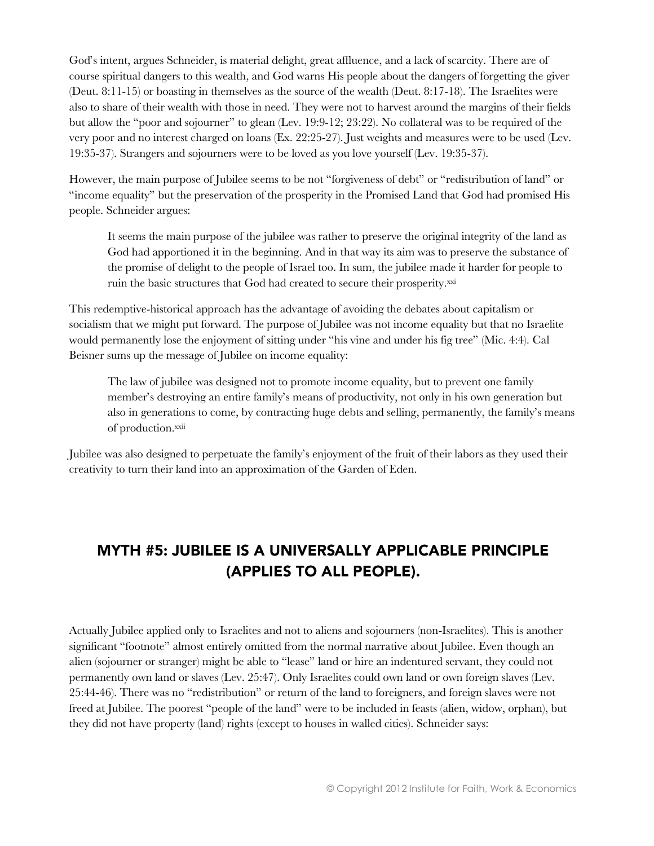God's intent, argues Schneider, is material delight, great affluence, and a lack of scarcity. There are of course spiritual dangers to this wealth, and God warns His people about the dangers of forgetting the giver (Deut. 8:11-15) or boasting in themselves as the source of the wealth (Deut. 8:17-18). The Israelites were also to share of their wealth with those in need. They were not to harvest around the margins of their fields but allow the "poor and sojourner" to glean (Lev. 19:9-12; 23:22). No collateral was to be required of the very poor and no interest charged on loans (Ex. 22:25-27). Just weights and measures were to be used (Lev. 19:35-37). Strangers and sojourners were to be loved as you love yourself (Lev. 19:35-37).

However, the main purpose of Jubilee seems to be not "forgiveness of debt" or "redistribution of land" or "income equality" but the preservation of the prosperity in the Promised Land that God had promised His people. Schneider argues:

It seems the main purpose of the jubilee was rather to preserve the original integrity of the land as God had apportioned it in the beginning. And in that way its aim was to preserve the substance of the promise of delight to the people of Israel too. In sum, the jubilee made it harder for people to ruin the basic structures that God had created to secure their prosperity.xxi

This redemptive-historical approach has the advantage of avoiding the debates about capitalism or socialism that we might put forward. The purpose of Jubilee was not income equality but that no Israelite would permanently lose the enjoyment of sitting under "his vine and under his fig tree" (Mic. 4:4). Cal Beisner sums up the message of Jubilee on income equality:

The law of jubilee was designed not to promote income equality, but to prevent one family member's destroying an entire family's means of productivity, not only in his own generation but also in generations to come, by contracting huge debts and selling, permanently, the family's means of production.xxii

Jubilee was also designed to perpetuate the family's enjoyment of the fruit of their labors as they used their creativity to turn their land into an approximation of the Garden of Eden.

# **MYTH #5: JUBILEE IS A UNIVERSALLY APPLICABLE PRINCIPLE** (APPLIES TO ALL PEOPLE).

Actually Jubilee applied only to Israelites and not to aliens and sojourners (non-Israelites). This is another significant "footnote" almost entirely omitted from the normal narrative about Jubilee. Even though an alien (sojourner or stranger) might be able to "lease" land or hire an indentured servant, they could not permanently own land or slaves (Lev. 25:47). Only Israelites could own land or own foreign slaves (Lev. 25:44-46). There was no "redistribution" or return of the land to foreigners, and foreign slaves were not freed at Jubilee. The poorest "people of the land" were to be included in feasts (alien, widow, orphan), but they did not have property (land) rights (except to houses in walled cities). Schneider says: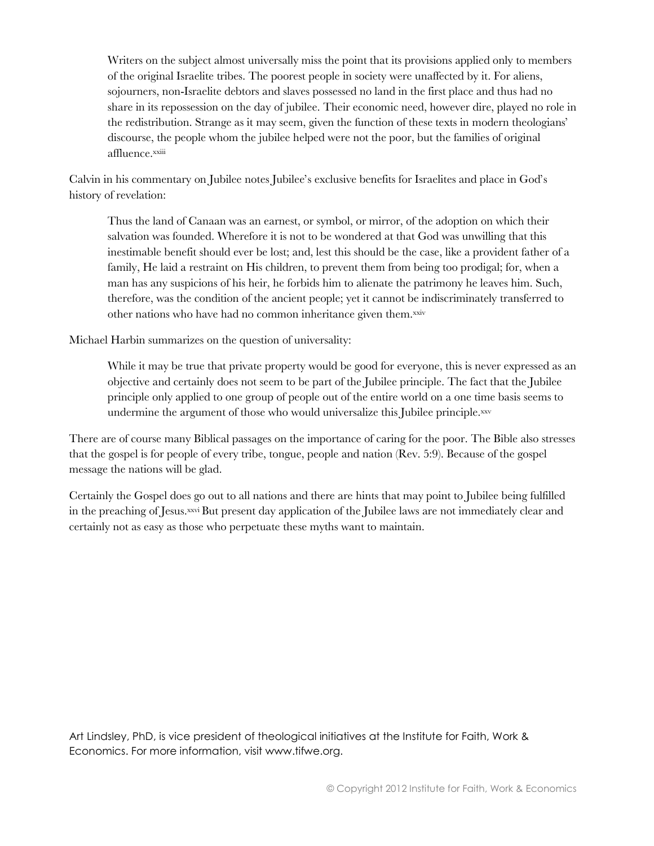Writers on the subject almost universally miss the point that its provisions applied only to members of the original Israelite tribes. The poorest people in society were unaffected by it. For aliens, sojourners, non-Israelite debtors and slaves possessed no land in the first place and thus had no share in its repossession on the day of jubilee. Their economic need, however dire, played no role in the redistribution. Strange as it may seem, given the function of these texts in modern theologians' discourse, the people whom the jubilee helped were not the poor, but the families of original affluence.xxiii

Calvin in his commentary on Jubilee notes Jubilee's exclusive benefits for Israelites and place in God's history of revelation:

Thus the land of Canaan was an earnest, or symbol, or mirror, of the adoption on which their salvation was founded. Wherefore it is not to be wondered at that God was unwilling that this inestimable benefit should ever be lost; and, lest this should be the case, like a provident father of a family, He laid a restraint on His children, to prevent them from being too prodigal; for, when a man has any suspicions of his heir, he forbids him to alienate the patrimony he leaves him. Such, therefore, was the condition of the ancient people; yet it cannot be indiscriminately transferred to other nations who have had no common inheritance given them.xxiv

Michael Harbin summarizes on the question of universality:

While it may be true that private property would be good for everyone, this is never expressed as an objective and certainly does not seem to be part of the Jubilee principle. The fact that the Jubilee principle only applied to one group of people out of the entire world on a one time basis seems to undermine the argument of those who would universalize this Jubilee principle.xxv

There are of course many Biblical passages on the importance of caring for the poor. The Bible also stresses that the gospel is for people of every tribe, tongue, people and nation (Rev. 5:9). Because of the gospel message the nations will be glad.

Certainly the Gospel does go out to all nations and there are hints that may point to Jubilee being fulfilled in the preaching of Jesus.xxvi But present day application of the Jubilee laws are not immediately clear and certainly not as easy as those who perpetuate these myths want to maintain.

Art Lindsley, PhD, is vice president of theological initiatives at the Institute for Faith, Work & Economics. For more information, visit www.tifwe.org.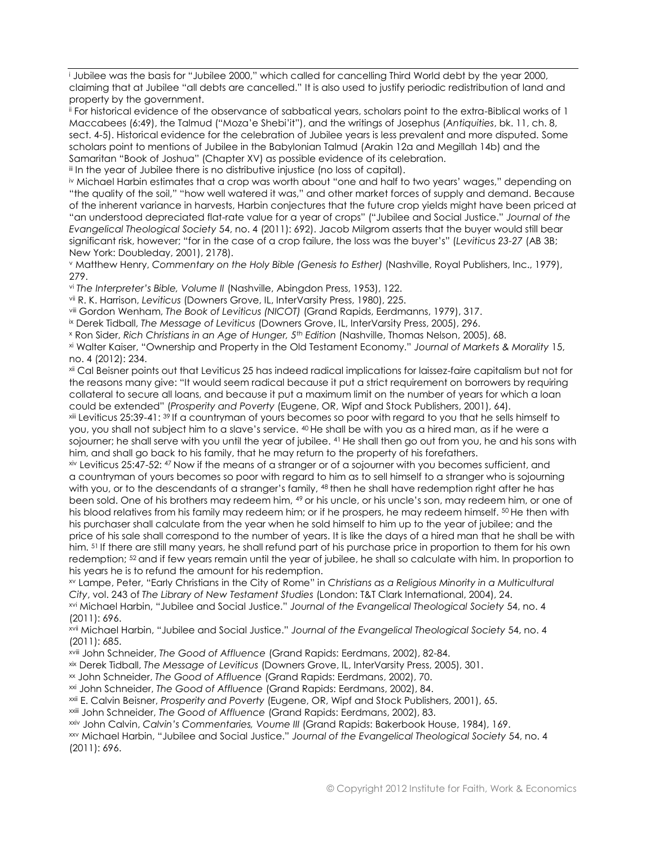<sup>i</sup> Jubilee was the basis for "Jubilee 2000," which called for cancelling Third World debt by the year 2000, claiming that at Jubilee "all debts are cancelled." It is also used to justify periodic redistribution of land and property by the government.

ii For historical evidence of the observance of sabbatical years, scholars point to the extra-Biblical works of 1 Maccabees (6:49), the Talmud ("Moza'e Shebi'it"), and the writings of Josephus (*Antiquities*, bk. 11, ch. 8, sect. 4-5). Historical evidence for the celebration of Jubilee years is less prevalent and more disputed. Some scholars point to mentions of Jubilee in the Babylonian Talmud (Arakin 12a and Megillah 14b) and the Samaritan "Book of Joshua" (Chapter XV) as possible evidence of its celebration.

iii In the year of Jubilee there is no distributive injustice (no loss of capital).

iv Michael Harbin estimates that a crop was worth about "one and half to two years' wages," depending on "the quality of the soil," "how well watered it was," and other market forces of supply and demand. Because of the inherent variance in harvests, Harbin conjectures that the future crop yields might have been priced at "an understood depreciated flat-rate value for a year of crops" ("Jubilee and Social Justice." *Journal of the Evangelical Theological Society* 54, no. 4 (2011): 692). Jacob Milgrom asserts that the buyer would still bear significant risk, however; "for in the case of a crop failure, the loss was the buyer's" (*Leviticus 23-27* (AB 3B; New York: Doubleday, 2001), 2178).

<sup>v</sup> Matthew Henry, *Commentary on the Holy Bible (Genesis to Esther)* (Nashville, Royal Publishers, Inc., 1979), 279.

vi *The Interpreter's Bible, Volume II* (Nashville, Abingdon Press, 1953), 122.

vii R. K. Harrison, *Leviticus* (Downers Grove, IL, InterVarsity Press, 1980), 225.

viii Gordon Wenham, *The Book of Leviticus (NICOT)* (Grand Rapids, Eerdmanns, 1979), 317.

ix Derek Tidball, *The Message of Leviticus* (Downers Grove, IL, InterVarsity Press, 2005), 296.

<sup>x</sup> Ron Sider, *Rich Christians in an Age of Hunger, 5th Edition* (Nashville, Thomas Nelson, 2005), 68.

xi Walter Kaiser, "Ownership and Property in the Old Testament Economy." *Journal of Markets & Morality* 15, no. 4 (2012): 234.

xii Cal Beisner points out that Leviticus 25 has indeed radical implications for laissez-faire capitalism but not for the reasons many give: "It would seem radical because it put a strict requirement on borrowers by requiring collateral to secure all loans, and because it put a maximum limit on the number of years for which a loan could be extended" (*Prosperity and Poverty* (Eugene, OR, Wipf and Stock Publishers, 2001), 64).

 $x$ iii Leviticus 25:39-41:  $39$  If a countryman of yours becomes so poor with regard to you that he sells himself to you, you shall not subject him to a slave's service. <sup>40</sup> He shall be with you as a hired man, as if he were a sojourner; he shall serve with you until the year of jubilee. <sup>41</sup> He shall then go out from you, he and his sons with him, and shall go back to his family, that he may return to the property of his forefathers.

xiv Leviticus 25:47-52: <sup>47</sup> Now if the means of a stranger or of a sojourner with you becomes sufficient, and a countryman of yours becomes so poor with regard to him as to sell himself to a stranger who is sojourning with you, or to the descendants of a stranger's family, <sup>48</sup> then he shall have redemption right after he has been sold. One of his brothers may redeem him,  $49$  or his uncle, or his uncle's son, may redeem him, or one of his blood relatives from his family may redeem him; or if he prospers, he may redeem himself. 50 He then with his purchaser shall calculate from the year when he sold himself to him up to the year of jubilee; and the price of his sale shall correspond to the number of years. It is like the days of a hired man that he shall be with him. <sup>51</sup> If there are still many years, he shall refund part of his purchase price in proportion to them for his own redemption; <sup>52</sup> and if few years remain until the year of jubilee, he shall so calculate with him. In proportion to his years he is to refund the amount for his redemption.

xv Lampe, Peter, "Early Christians in the City of Rome" in *Christians as a Religious Minority in a Multicultural City*, vol. 243 of *The Library of New Testament Studies* (London: T&T Clark International, 2004), 24. xvi Michael Harbin, "Jubilee and Social Justice." *Journal of the Evangelical Theological Society* 54, no. 4

(2011): 696.

xvii Michael Harbin, "Jubilee and Social Justice." *Journal of the Evangelical Theological Society* 54, no. 4 (2011): 685.

xviii John Schneider, *The Good of Affluence* (Grand Rapids: Eerdmans, 2002), 82-84.

xix Derek Tidball, *The Message of Leviticus* (Downers Grove, IL, InterVarsity Press, 2005), 301.

xx John Schneider, *The Good of Affluence* (Grand Rapids: Eerdmans, 2002), 70.

xxi John Schneider, *The Good of Affluence* (Grand Rapids: Eerdmans, 2002), 84.

xxii E. Calvin Beisner, *Prosperity and Poverty* (Eugene, OR, Wipf and Stock Publishers, 2001), 65.

xxiii John Schneider, *The Good of Affluence* (Grand Rapids: Eerdmans, 2002), 83.

xxiv John Calvin, *Calvin's Commentaries, Voume III* (Grand Rapids: Bakerbook House, 1984), 169.

xxv Michael Harbin, "Jubilee and Social Justice." *Journal of the Evangelical Theological Society* 54, no. 4 (2011): 696.